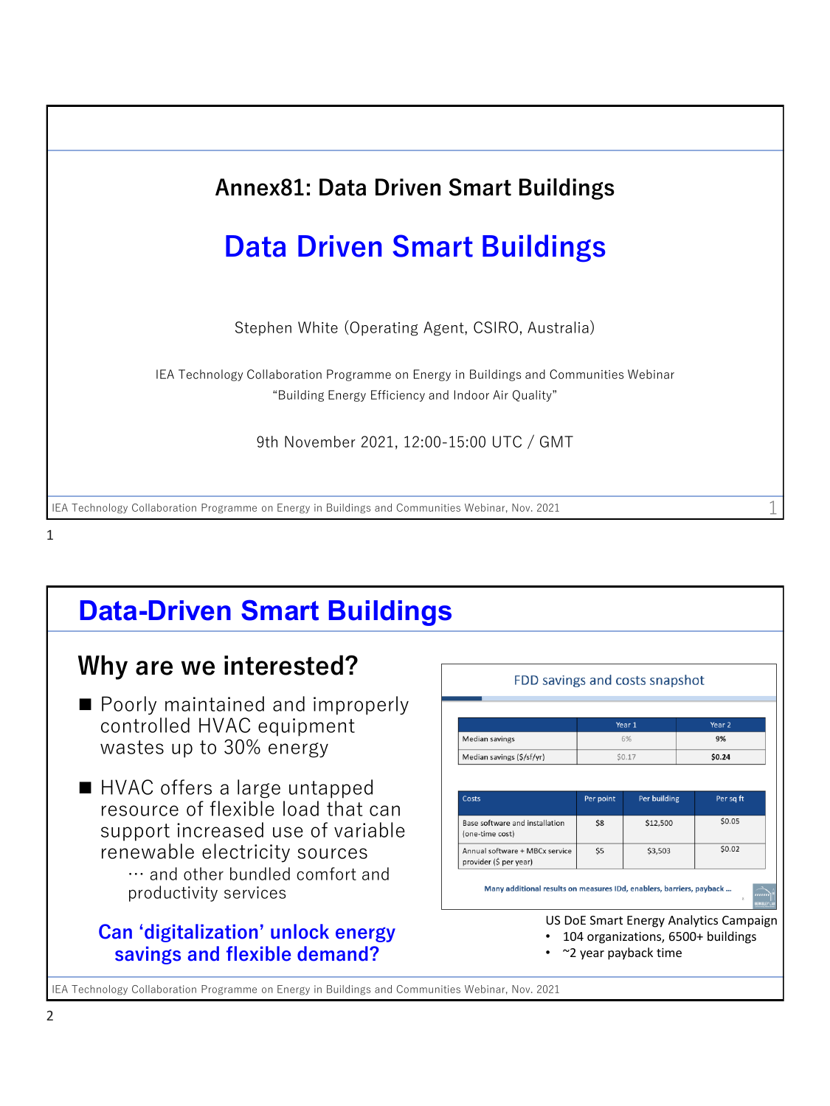

#### 1

## **Data-Driven Smart Buildings**

### **Why are we interested?**

- Poorly maintained and improperly controlled HVAC equipment wastes up to 30% energy
- HVAC offers a large untapped resource of flexible load that can support increased use of variable renewable electricity sources … and other bundled comfort and productivity services

#### **Can 'digitalization' unlock energy savings and flexible demand?**

|                                                          |              | Year 1   | Year 2       |  |
|----------------------------------------------------------|--------------|----------|--------------|--|
| <b>Median savings</b>                                    | 6%<br>\$0.17 |          | 9%<br>\$0.24 |  |
| Median savings (\$/sf/yr)                                |              |          |              |  |
| Base software and installation<br>(one-time cost)        | \$8          | \$12,500 | \$0.05       |  |
| Annual software + MBCx service<br>provider (\$ per year) | \$5          | \$3,503  | \$0.02       |  |

IEA Technology Collaboration Programme on Energy in Buildings and Communities Webinar, Nov. 2021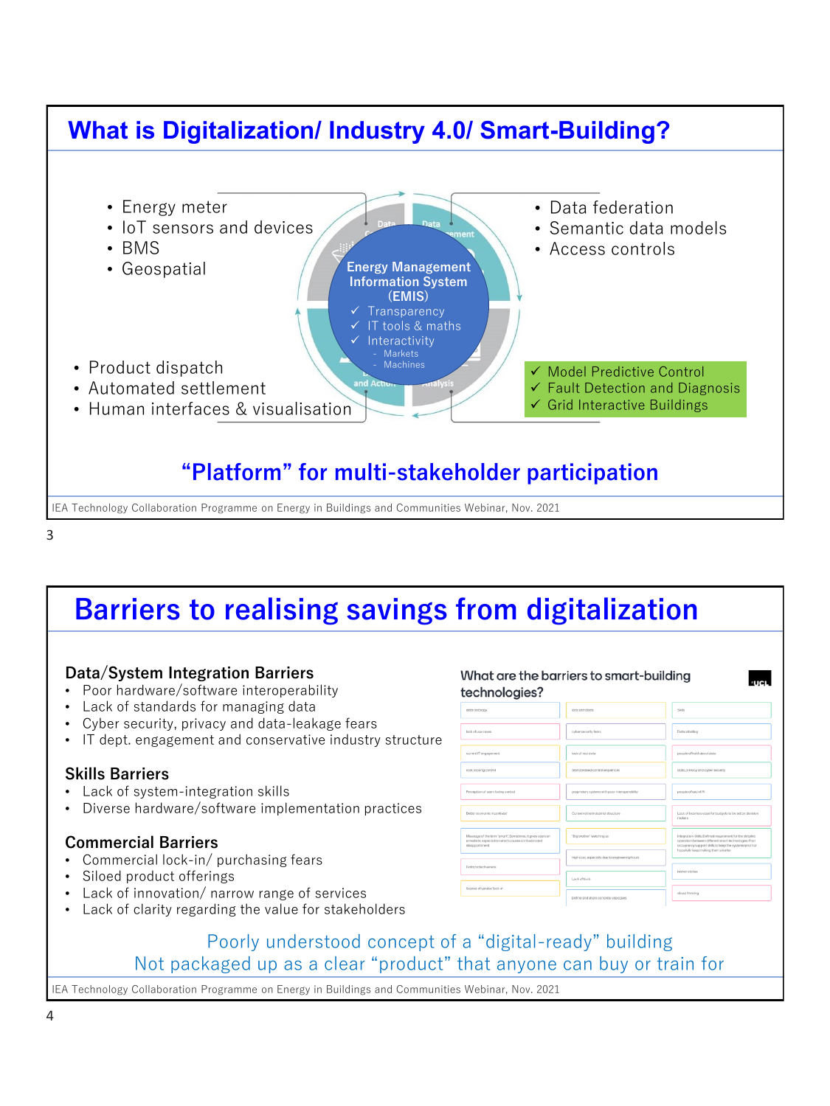#### **What is Digitalization/ Industry 4.0/ Smart-Building?** • Product dispatch • Automated settlement • Human interfaces & visualisation ▼ Twouer Fredictive Control<br>✓ Fault Detection and Diagnosis • AI/ML ✓ Grid Interactive Buildings • Data federation • Semantic data models • Access controls • Energy meter • IoT sensors and devices • BMS • Geospatial ✓ Model Predictive Control **"Platform" for multi-stakeholder participation Energy Management Information System (EMIS) Transparency** IT tools & maths **Interactivity Machines**

IEA Technology Collaboration Programme on Energy in Buildings and Communities Webinar, Nov. 2021

3

# **Barriers to realising savings from digitalization**

#### **Data/System Integration Barriers**

- Poor hardware/software interoperability
- Lack of standards for managing data
- Cyber security, privacy and data-leakage fears
- IT dept. engagement and conservative industry structure

#### **Skills Barriers**

- Lack of system-integration skills
- Diverse hardware/software implementation practices

#### **Commercial Barriers**

- Commercial lock-in/ purchasing fears
- Siloed product offerings
- Lack of innovation/ narrow range of services
- Lack of clarity regarding the value for stakeholders

#### technologies?  $_{\rm 500}$ dotta ombitogy lock stondards cyber security fears Dota labelling lack of use cases lack of real data High cost, especially due to engin Horror storie Losk of tools

What are the barriers to smart-building

#### Poorly understood concept of a "digital-ready" building Not packaged up as a clear "product" that anyone can buy or train for

IEA Technology Collaboration Programme on Energy in Buildings and Communities Webinar, Nov. 2021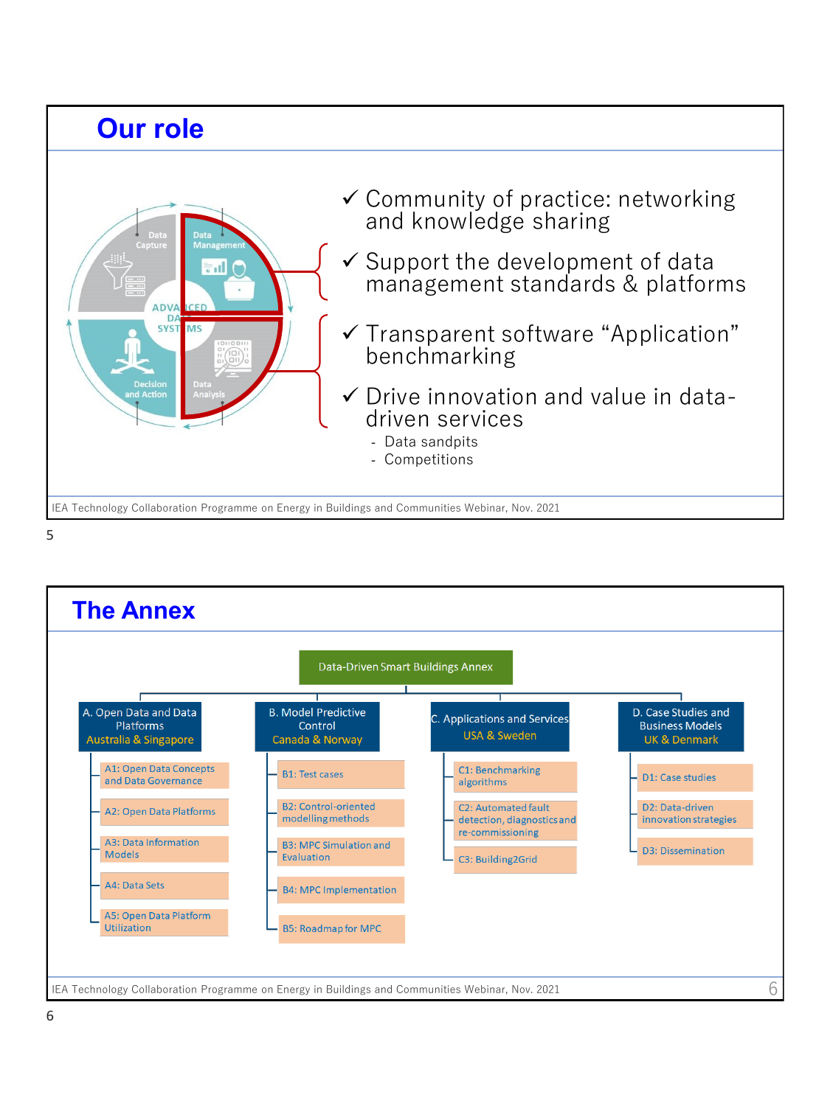

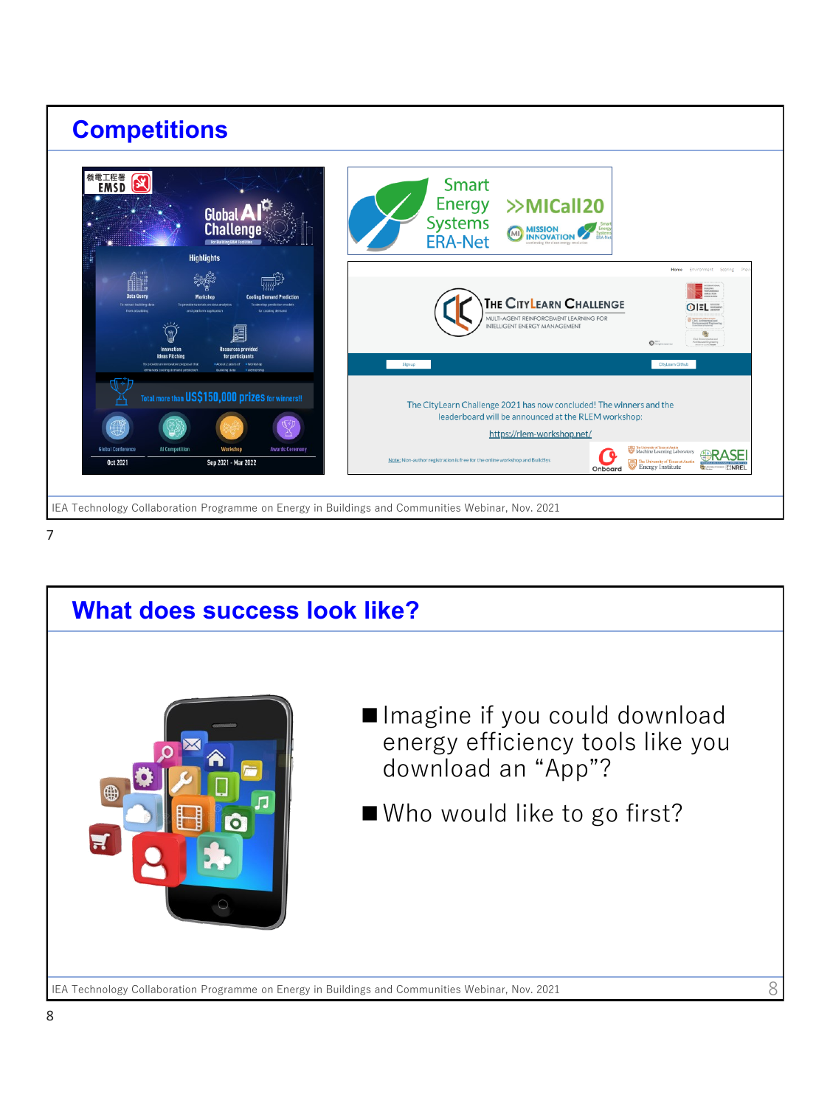



IEA Technology Collaboration Programme on Energy in Buildings and Communities Webinar, Nov. 2021